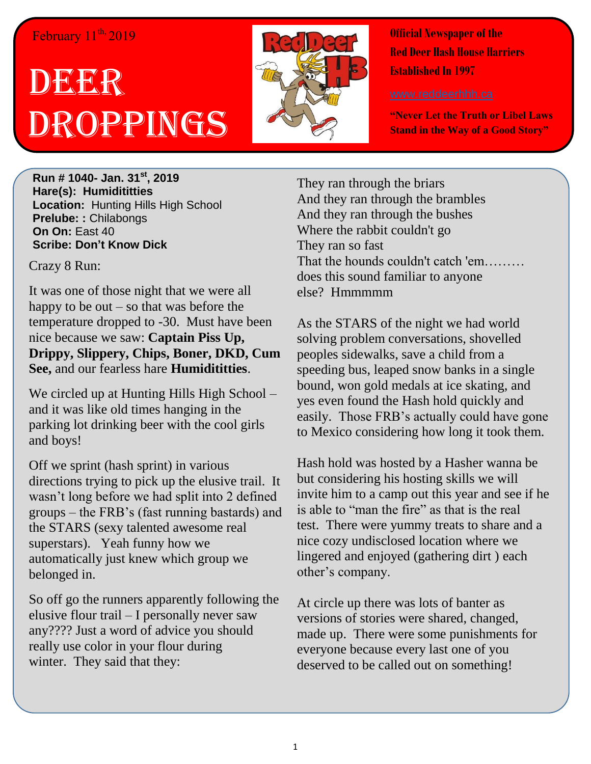## February 11<sup>th,</sup> 2019

## **DEER** Droppings



**Official Newspaper of the Red Deer Hash House Harriers Established In 1997** 

**"Never Let the Truth or Libel Laws Stand in the Way of a Good Story"**

**Run # 1040- Jan. 31st, 2019 Hare(s): Humidititties Location:** Hunting Hills High School **Prelube: :** Chilabongs **On On:** East 40 **Scribe: Don't Know Dick**

Crazy 8 Run:

It was one of those night that we were all happy to be out – so that was before the temperature dropped to -30. Must have been nice because we saw: **Captain Piss Up, Drippy, Slippery, Chips, Boner, DKD, Cum See,** and our fearless hare **Humidititties**.

We circled up at Hunting Hills High School – and it was like old times hanging in the parking lot drinking beer with the cool girls and boys!

Off we sprint (hash sprint) in various directions trying to pick up the elusive trail. It wasn't long before we had split into 2 defined groups – the FRB's (fast running bastards) and the STARS (sexy talented awesome real superstars). Yeah funny how we automatically just knew which group we belonged in.

So off go the runners apparently following the elusive flour trail – I personally never saw any???? Just a word of advice you should really use color in your flour during winter. They said that they:

They ran through the briars And they ran through the brambles And they ran through the bushes Where the rabbit couldn't go They ran so fast That the hounds couldn't catch 'em……… does this sound familiar to anyone else? Hmmmmm

As the STARS of the night we had world solving problem conversations, shovelled peoples sidewalks, save a child from a speeding bus, leaped snow banks in a single bound, won gold medals at ice skating, and yes even found the Hash hold quickly and easily. Those FRB's actually could have gone to Mexico considering how long it took them.

Hash hold was hosted by a Hasher wanna be but considering his hosting skills we will invite him to a camp out this year and see if he is able to "man the fire" as that is the real test. There were yummy treats to share and a nice cozy undisclosed location where we lingered and enjoyed (gathering dirt ) each other's company.

At circle up there was lots of banter as versions of stories were shared, changed, made up. There were some punishments for everyone because every last one of you deserved to be called out on something!